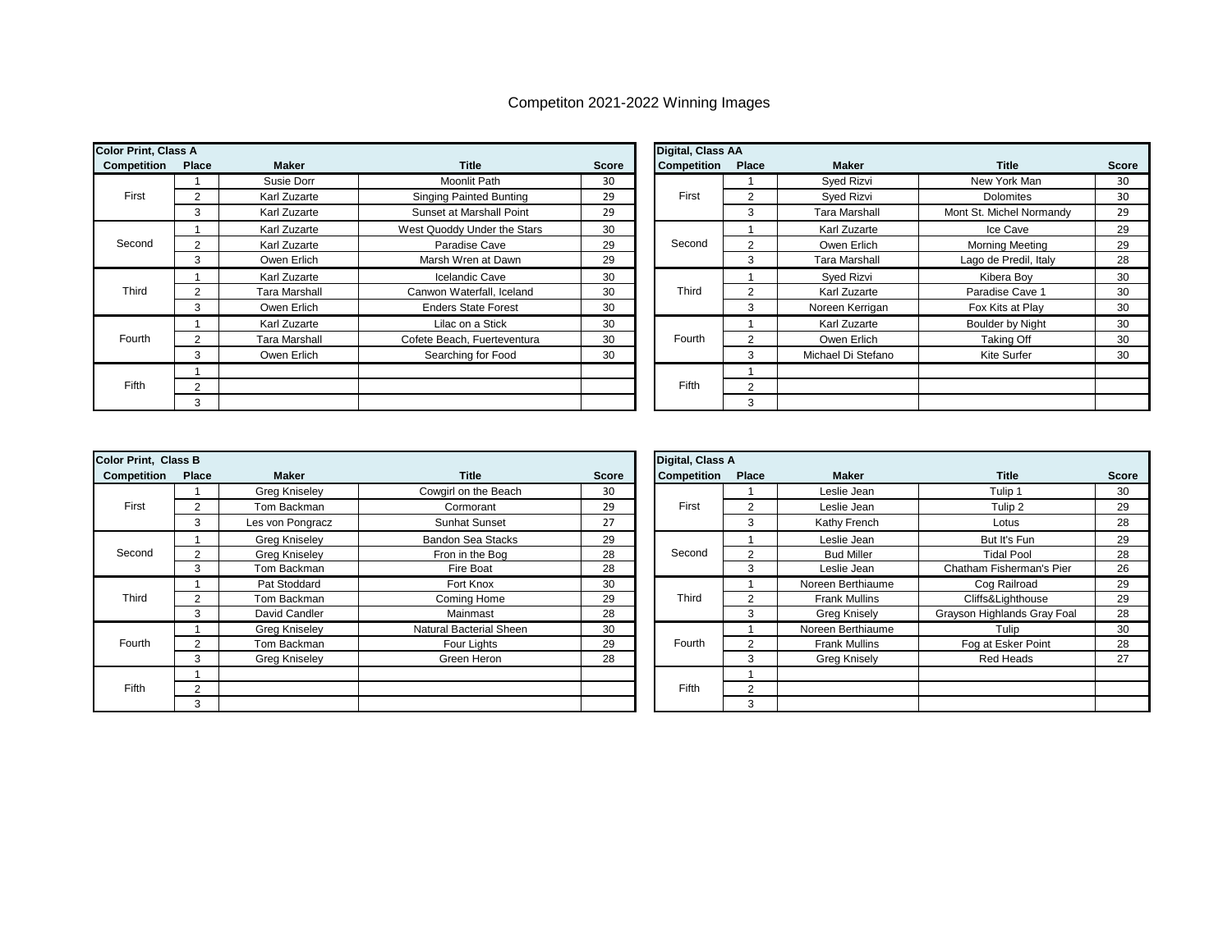## Competiton 2021-2022 Winning Images

| <b>Color Print, Class A</b> |       |                      |                                |       | Digital, Class AA  |       |                    |                          |       |
|-----------------------------|-------|----------------------|--------------------------------|-------|--------------------|-------|--------------------|--------------------------|-------|
| Competition                 | Place | Maker                | <b>Title</b>                   | Score | <b>Competition</b> | Place | Maker              | <b>Title</b>             | Score |
|                             |       | Susie Dorr           | <b>Moonlit Path</b>            | 30    |                    |       | Syed Rizvi         | New York Man             | 30    |
| First                       |       | Karl Zuzarte         | <b>Singing Painted Bunting</b> | 29    | First              |       | Syed Rizvi         | <b>Dolomites</b>         | 30    |
|                             |       | Karl Zuzarte         | Sunset at Marshall Point       | 29    |                    | 3     | Tara Marshall      | Mont St. Michel Normandy | 29    |
|                             |       | Karl Zuzarte         | West Quoddy Under the Stars    | 30    |                    |       | Karl Zuzarte       | Ice Cave                 | 29    |
| Second                      |       | Karl Zuzarte         | Paradise Cave                  | 29    | Second             |       | Owen Erlich        | <b>Morning Meeting</b>   | 29    |
|                             | 3     | Owen Erlich          | Marsh Wren at Dawn             | 29    |                    | 3     | Tara Marshall      | Lago de Predil, Italy    | 28    |
|                             |       | Karl Zuzarte         | Icelandic Cave                 | 30    |                    |       | Sved Rizvi         | Kibera Bov               | 30    |
| Third                       |       | <b>Tara Marshall</b> | Canwon Waterfall, Iceland      | 30    | Third              |       | Karl Zuzarte       | Paradise Cave 1          | 30    |
|                             | 3     | Owen Erlich          | <b>Enders State Forest</b>     | 30    |                    | 3     | Noreen Kerrigan    | Fox Kits at Play         | 30    |
|                             |       | Karl Zuzarte         | Lilac on a Stick               | 30    |                    |       | Karl Zuzarte       | Boulder by Night         | 30    |
| Fourth                      |       | <b>Tara Marshall</b> | Cofete Beach, Fuerteventura    | 30    | Fourth             |       | Owen Erlich        | Taking Off               | 30    |
|                             | 3     | Owen Erlich          | Searching for Food             | 30    |                    | 3     | Michael Di Stefano | Kite Surfer              | 30    |
|                             |       |                      |                                |       |                    |       |                    |                          |       |
| <b>Fifth</b>                | ◠     |                      |                                |       | Fifth              | 2     |                    |                          |       |
|                             |       |                      |                                |       |                    | 3     |                    |                          |       |

|     |                      |                                |              | <b>Digital, Class AA</b> |               |                      |                          |              |
|-----|----------------------|--------------------------------|--------------|--------------------------|---------------|----------------------|--------------------------|--------------|
| ace | <b>Maker</b>         | <b>Title</b>                   | <b>Score</b> | <b>Competition</b>       | Place         | <b>Maker</b>         | Title                    | <b>Score</b> |
|     | Susie Dorr           | Moonlit Path                   | 30           |                          |               | Syed Rizvi           | New York Man             | 30           |
|     | Karl Zuzarte         | <b>Singing Painted Bunting</b> | 29           | First                    | $\mathcal{P}$ | Syed Rizvi           | Dolomites                | 30           |
|     | Karl Zuzarte         | Sunset at Marshall Point       | 29           |                          | 3             | <b>Tara Marshall</b> | Mont St. Michel Normandy | 29           |
|     | Karl Zuzarte         | West Quoddy Under the Stars    | 30           |                          |               | Karl Zuzarte         | Ice Cave                 | 29           |
|     | Karl Zuzarte         | Paradise Cave                  | 29           | Second                   | 2             | Owen Erlich          | <b>Morning Meeting</b>   | 29           |
|     | Owen Erlich          | Marsh Wren at Dawn             | 29           |                          | 3             | Tara Marshall        | Lago de Predil, Italy    | 28           |
|     | Karl Zuzarte         | <b>Icelandic Cave</b>          | 30           |                          |               | Sved Rizvi           | Kibera Bov               | 30           |
|     | <b>Tara Marshall</b> | Canwon Waterfall, Iceland      | 30           | Third                    | 2             | Karl Zuzarte         | Paradise Cave 1          | 30           |
|     | Owen Erlich          | <b>Enders State Forest</b>     | 30           |                          | 3             | Noreen Kerrigan      | Fox Kits at Play         | 30           |
|     | Karl Zuzarte         | Lilac on a Stick               | 30           |                          |               | Karl Zuzarte         | <b>Boulder by Night</b>  | 30           |
|     | Tara Marshall        | Cofete Beach, Fuerteventura    | 30           | Fourth                   |               | Owen Erlich          | <b>Taking Off</b>        | 30           |
|     | Owen Erlich          | Searching for Food             | 30           |                          | 3             | Michael Di Stefano   | Kite Surfer              | 30           |
|     |                      |                                |              |                          |               |                      |                          |              |
| 2   |                      |                                |              | Fifth                    | 2             |                      |                          |              |
| 3   |                      |                                |              |                          | 3             |                      |                          |              |

| <b>Color Print, Class B</b> |       |                      |                          |       | Digital, Class A   |          |                      |                             |              |
|-----------------------------|-------|----------------------|--------------------------|-------|--------------------|----------|----------------------|-----------------------------|--------------|
| Competition                 | Place | <b>Maker</b>         | <b>Title</b>             | Score | <b>Competition</b> | Place    | <b>Maker</b>         | <b>Title</b>                | <b>Score</b> |
|                             |       | Greg Kniseley        | Cowgirl on the Beach     | 30    |                    |          | Leslie Jean          | Tulip 1                     | 30           |
| First                       |       | Tom Backman          | Cormorant                | 29    | First              |          | Leslie Jean          | Tulip 2                     | 29           |
|                             | 3     | Les von Pongracz     | <b>Sunhat Sunset</b>     | 27    |                    | 3        | Kathy French         | Lotus                       | 28           |
|                             |       | Greg Kniseley        | <b>Bandon Sea Stacks</b> | 29    |                    |          | Leslie Jean          | But It's Fun                | 29           |
| Second                      |       | Greg Kniseley        | Fron in the Bog          | 28    | Second             | $\Omega$ | <b>Bud Miller</b>    | <b>Tidal Pool</b>           | 28           |
|                             | 3     | Tom Backman          | Fire Boat                | 28    |                    | 3        | Leslie Jean          | Chatham Fisherman's Pier    | 26           |
|                             |       | Pat Stoddard         | Fort Knox                | 30    |                    |          | Noreen Berthiaume    | Cog Railroad                | 29           |
| Third                       |       | Tom Backman          | Coming Home              | 29    | Third              | ◠        | <b>Frank Mullins</b> | Cliffs&Lighthouse           | 29           |
|                             | 3     | David Candler        | Mainmast                 | 28    |                    | 3        | Greg Knisely         | Grayson Highlands Gray Foal | 28           |
|                             |       | Greg Kniseley        | Natural Bacterial Sheen  | 30    |                    |          | Noreen Berthiaume    | Tulip                       | 30           |
| Fourth                      |       | Tom Backman          | Four Lights              | 29    | Fourth             |          | <b>Frank Mullins</b> | Fog at Esker Point          | 28           |
|                             | 3     | <b>Greg Kniseley</b> | Green Heron              | 28    |                    | 3        | <b>Greg Knisely</b>  | Red Heads                   | 27           |
|                             |       |                      |                          |       |                    |          |                      |                             |              |
| <b>Fifth</b>                |       |                      |                          |       | Fifth              | C        |                      |                             |              |
|                             | 3     |                      |                          |       |                    | 3        |                      |                             |              |

|     |                  |                          |              | Digital, Class A |       |                      |                             |              |
|-----|------------------|--------------------------|--------------|------------------|-------|----------------------|-----------------------------|--------------|
| ace | <b>Maker</b>     | <b>Title</b>             | <b>Score</b> | Competition      | Place | <b>Maker</b>         | <b>Title</b>                | <b>Score</b> |
|     | Greg Kniseley    | Cowgirl on the Beach     | 30           |                  |       | Leslie Jean          | Tulip 1                     | 30           |
|     | Tom Backman      | Cormorant                | 29           | First            | 2     | Leslie Jean          | Tulip 2                     | 29           |
|     | Les von Pongracz | <b>Sunhat Sunset</b>     | 27           |                  | 3     | Kathy French         | Lotus                       | 28           |
|     | Greg Kniseley    | <b>Bandon Sea Stacks</b> | 29           |                  |       | Leslie Jean          | But It's Fun                | 29           |
|     | Greg Kniseley    | Fron in the Bog          | 28           | Second           | 2     | <b>Bud Miller</b>    | <b>Tidal Pool</b>           | 28           |
|     | Tom Backman      | Fire Boat                | 28           |                  | 3     | Leslie Jean          | Chatham Fisherman's Pier    | 26           |
|     | Pat Stoddard     | Fort Knox                | 30           |                  |       | Noreen Berthiaume    | Cog Railroad                | 29           |
|     | Tom Backman      | Coming Home              | 29           | Third            | っ     | <b>Frank Mullins</b> | Cliffs&Lighthouse           | 29           |
|     | David Candler    | Mainmast                 | 28           |                  | 3     | <b>Greg Knisely</b>  | Grayson Highlands Gray Foal | 28           |
|     | Greg Kniseley    | Natural Bacterial Sheen  | 30           |                  |       | Noreen Berthiaume    | Tulip                       | 30           |
|     | Tom Backman      | Four Lights              | 29           | Fourth           | 2     | <b>Frank Mullins</b> | Fog at Esker Point          | 28           |
|     | Greg Kniseley    | Green Heron              | 28           |                  | 3     | <b>Greg Knisely</b>  | Red Heads                   | 27           |
|     |                  |                          |              |                  |       |                      |                             |              |
|     |                  |                          |              | <b>Fifth</b>     | 2     |                      |                             |              |
|     |                  |                          |              |                  | 3     |                      |                             |              |